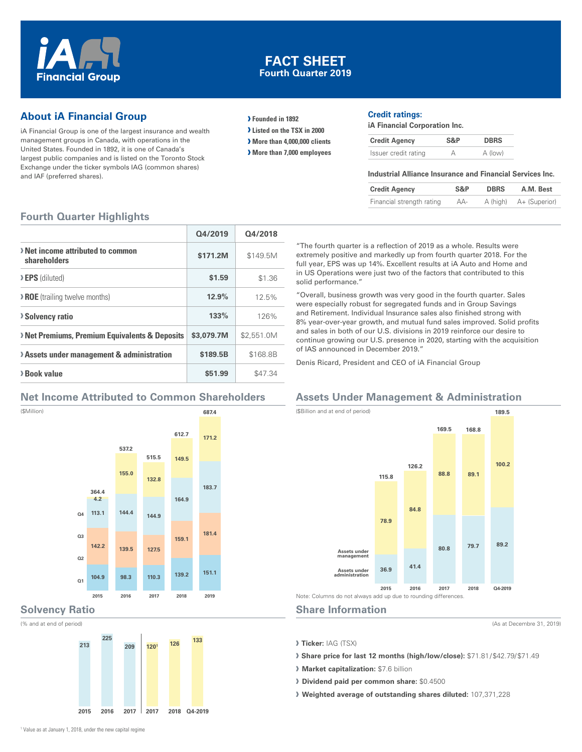

#### **FACT SHEET Fourth Quarter 2019**

### **About iA Financial Group**

iA Financial Group is one of the largest insurance and wealth management groups in Canada, with operations in the United States. Founded in 1892, it is one of Canada's largest public companies and is listed on the Toronto Stock Exchange under the ticker symbols IAG (common shares) and IAF (preferred shares).

**› Founded in 1892**

**› Listed on the TSX in 2000**

**› More than 4,000,000 clients**

**› More than 7,000 employees**

#### **Credit ratings:**

**iA Financial Corporation Inc.**

| <b>Credit Agency</b> | S&P | <b>DBRS</b> |
|----------------------|-----|-------------|
| Issuer credit rating |     | A (low)     |

#### **Industrial Alliance Insurance and Financial Services Inc.**

| <b>Credit Agency</b>      | S&P | <b>DBRS</b> | A.M. Best              |
|---------------------------|-----|-------------|------------------------|
| Financial strength rating | AA- |             | A (high) A+ (Superior) |

#### **Fourth Quarter Highlights**

|                                                         | Q4/2019    | Q4/2018    |
|---------------------------------------------------------|------------|------------|
| > Net income attributed to common<br>shareholders       | \$171.2M   | \$149.5M   |
| <b>EPS</b> (diluted)                                    | \$1.59     | \$1.36     |
| <b>&gt; ROE</b> (trailing twelve months)                | 12.9%      | 12.5%      |
| <b>Solvency ratio</b>                                   | 133%       | 126%       |
| <b>Net Premiums, Premium Equivalents &amp; Deposits</b> | \$3,079.7M | \$2.551.0M |
| > Assets under management & administration              | \$189.5B   | \$168.8B   |
| > Book value                                            | \$51.99    | \$47.34    |

#### **Net Income Attributed to Common Shareholders**



## **Solvency Ratio**

(% and at end of period)

(\$Million)



"The fourth quarter is a reflection of 2019 as a whole. Results were extremely positive and markedly up from fourth quarter 2018. For the full year, EPS was up 14%. Excellent results at iA Auto and Home and in US Operations were just two of the factors that contributed to this solid performance."

"Overall, business growth was very good in the fourth quarter. Sales were especially robust for segregated funds and in Group Savings and Retirement. Individual Insurance sales also finished strong with 8% year‑over‑year growth, and mutual fund sales improved. Solid profits and sales in both of our U.S. divisions in 2019 reinforce our desire to continue growing our U.S. presence in 2020, starting with the acquisition of IAS announced in December 2019."

Denis Ricard, President and CEO of iA Financial Group

### **Assets Under Management & Administration**



#### **Share Information**

(As at Decembre 31, 2019)

**› Ticker:** IAG (TSX)

- **› Share price for last 12 months (high/low/close):** \$71.81/\$42.79/\$71.49
- **› Market capitalization:** \$7.6 billion
- **› Dividend paid per common share:** \$0.4500
- **› Weighted average of outstanding shares diluted:** 107,371,228